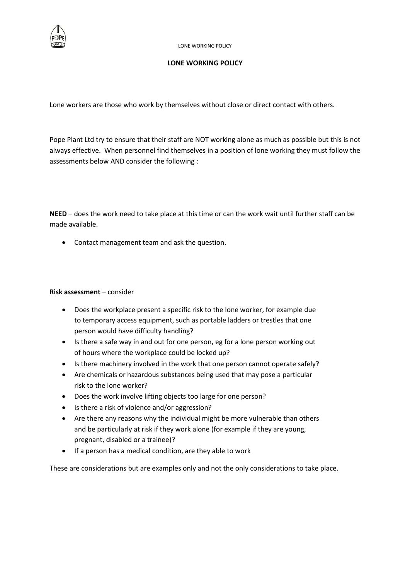

## **LONE WORKING POLICY**

Lone workers are those who work by themselves without close or direct contact with others.

Pope Plant Ltd try to ensure that their staff are NOT working alone as much as possible but this is not always effective. When personnel find themselves in a position of lone working they must follow the assessments below AND consider the following :

**NEED** – does the work need to take place at this time or can the work wait until further staff can be made available.

Contact management team and ask the question.

## **Risk assessment** – consider

- Does the workplace present a specific risk to the lone worker, for example due to temporary access equipment, such as portable ladders or trestles that one person would have difficulty handling?
- Is there a safe way in and out for one person, eg for a lone person working out of hours where the workplace could be locked up?
- Is there machinery involved in the work that one person cannot operate safely?
- Are chemicals or hazardous substances being used that may pose a particular risk to the lone worker?
- Does the work involve lifting objects too large for one person?
- Is there a risk of violence and/or aggression?
- Are there any reasons why the individual might be more vulnerable than others and be particularly at risk if they work alone (for example if they are young, pregnant, disabled or a trainee)?
- If a person has a medical condition, are they able to work

These are considerations but are examples only and not the only considerations to take place.